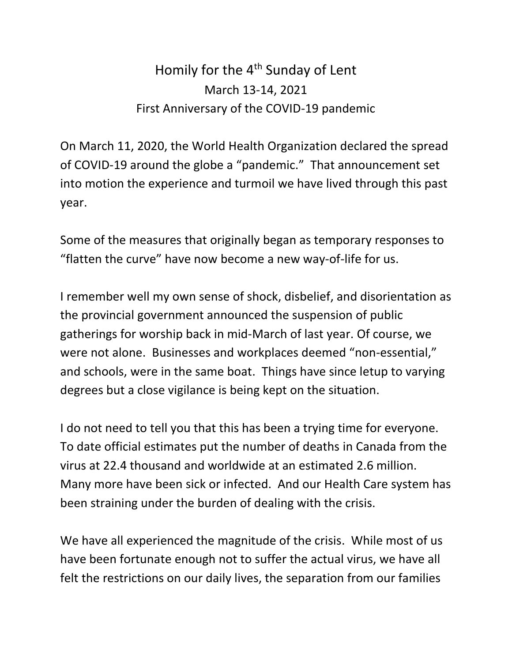## Homily for the 4<sup>th</sup> Sunday of Lent March 13-14, 2021 First Anniversary of the COVID-19 pandemic

On March 11, 2020, the World Health Organization declared the spread of COVID-19 around the globe a "pandemic." That announcement set into motion the experience and turmoil we have lived through this past year.

Some of the measures that originally began as temporary responses to "flatten the curve" have now become a new way-of-life for us.

I remember well my own sense of shock, disbelief, and disorientation as the provincial government announced the suspension of public gatherings for worship back in mid-March of last year. Of course, we were not alone. Businesses and workplaces deemed "non-essential," and schools, were in the same boat. Things have since letup to varying degrees but a close vigilance is being kept on the situation.

I do not need to tell you that this has been a trying time for everyone. To date official estimates put the number of deaths in Canada from the virus at 22.4 thousand and worldwide at an estimated 2.6 million. Many more have been sick or infected. And our Health Care system has been straining under the burden of dealing with the crisis.

We have all experienced the magnitude of the crisis. While most of us have been fortunate enough not to suffer the actual virus, we have all felt the restrictions on our daily lives, the separation from our families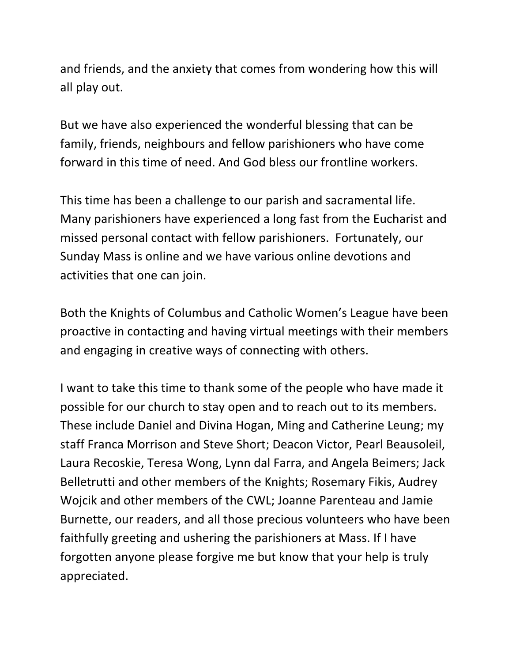and friends, and the anxiety that comes from wondering how this will all play out.

But we have also experienced the wonderful blessing that can be family, friends, neighbours and fellow parishioners who have come forward in this time of need. And God bless our frontline workers.

This time has been a challenge to our parish and sacramental life. Many parishioners have experienced a long fast from the Eucharist and missed personal contact with fellow parishioners. Fortunately, our Sunday Mass is online and we have various online devotions and activities that one can join.

Both the Knights of Columbus and Catholic Women's League have been proactive in contacting and having virtual meetings with their members and engaging in creative ways of connecting with others.

I want to take this time to thank some of the people who have made it possible for our church to stay open and to reach out to its members. These include Daniel and Divina Hogan, Ming and Catherine Leung; my staff Franca Morrison and Steve Short; Deacon Victor, Pearl Beausoleil, Laura Recoskie, Teresa Wong, Lynn dal Farra, and Angela Beimers; Jack Belletrutti and other members of the Knights; Rosemary Fikis, Audrey Wojcik and other members of the CWL; Joanne Parenteau and Jamie Burnette, our readers, and all those precious volunteers who have been faithfully greeting and ushering the parishioners at Mass. If I have forgotten anyone please forgive me but know that your help is truly appreciated.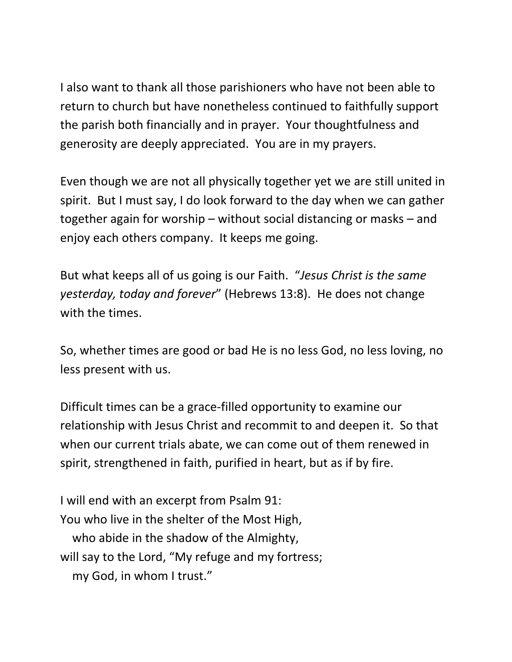I also want to thank all those parishioners who have not been able to return to church but have nonetheless continued to faithfully support the parish both financially and in prayer. Your thoughtfulness and generosity are deeply appreciated. You are in my prayers.

Even though we are not all physically together yet we are still united in spirit. But I must say, I do look forward to the day when we can gather together again for worship – without social distancing or masks – and enjoy each others company. It keeps me going.

But what keeps all of us going is our Faith. "*Jesus Christ is the same yesterday, today and forever*" (Hebrews 13:8). He does not change with the times.

So, whether times are good or bad He is no less God, no less loving, no less present with us.

Difficult times can be a grace-filled opportunity to examine our relationship with Jesus Christ and recommit to and deepen it. So that when our current trials abate, we can come out of them renewed in spirit, strengthened in faith, purified in heart, but as if by fire.

I will end with an excerpt from Psalm 91: You who live in the shelter of the Most High, who abide in the shadow of the Almighty, will say to the Lord, "My refuge and my fortress; my God, in whom I trust."